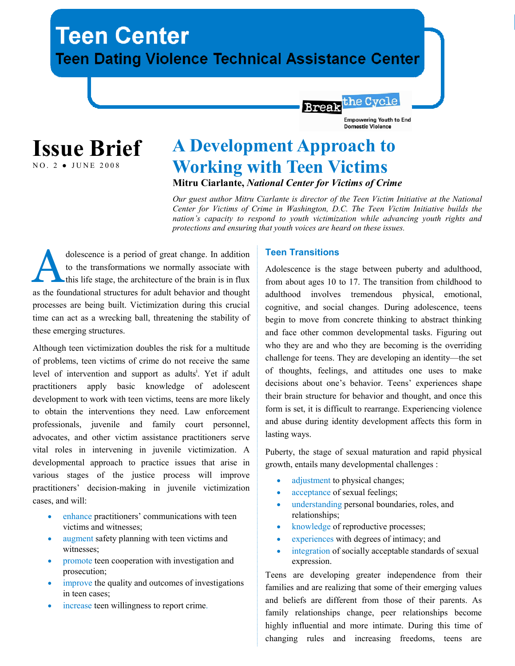# **Teen Center Teen Dating Violence Technical Assistance Center**



## A Development Approach to Working with Teen Victims Mitru Ciarlante, National Center for Victims of Crime

Our guest author Mitru Ciarlante is director of the Teen Victim Initiative at the National Center for Victims of Crime in Washington, D.C. The Teen Victim Initiative builds the nation's capacity to respond to youth victimization while advancing youth rights and protections and ensuring that youth voices are heard on these issues.

**Break** 

dolescence is a period of great change. In addition to the transformations we normally associate with this life stage, the architecture of the brain is in flux as the foundational structures for adult behavior and thought processes are being built. Victimization during this crucial time can act as a wrecking ball, threatening the stability of these emerging structures.

Although teen victimization doubles the risk for a multitude of problems, teen victims of crime do not receive the same level of intervention and support as adults<sup>i</sup>. Yet if adult practitioners apply basic knowledge of adolescent development to work with teen victims, teens are more likely to obtain the interventions they need. Law enforcement professionals, juvenile and family court personnel, advocates, and other victim assistance practitioners serve vital roles in intervening in juvenile victimization. A developmental approach to practice issues that arise in various stages of the justice process will improve practitioners' decision-making in juvenile victimization cases, and will:

- enhance practitioners' communications with teen victims and witnesses;
- augment safety planning with teen victims and witnesses;
- promote teen cooperation with investigation and prosecution;
- improve the quality and outcomes of investigations in teen cases;
- increase teen willingness to report crime.

#### Teen Transitions

Adolescence is the stage between puberty and adulthood, from about ages 10 to 17. The transition from childhood to adulthood involves tremendous physical, emotional, cognitive, and social changes. During adolescence, teens begin to move from concrete thinking to abstract thinking and face other common developmental tasks. Figuring out who they are and who they are becoming is the overriding challenge for teens. They are developing an identity—the set of thoughts, feelings, and attitudes one uses to make decisions about one's behavior. Teens' experiences shape their brain structure for behavior and thought, and once this form is set, it is difficult to rearrange. Experiencing violence and abuse during identity development affects this form in lasting ways.

the Cycle

**Empowering Youth to End Domestic Violence** 

Puberty, the stage of sexual maturation and rapid physical growth, entails many developmental challenges :

- adjustment to physical changes;
- acceptance of sexual feelings;
- understanding personal boundaries, roles, and relationships;
- knowledge of reproductive processes;
- experiences with degrees of intimacy; and
- integration of socially acceptable standards of sexual expression.

Teens are developing greater independence from their families and are realizing that some of their emerging values and beliefs are different from those of their parents. As family relationships change, peer relationships become highly influential and more intimate. During this time of changing rules and increasing freedoms, teens are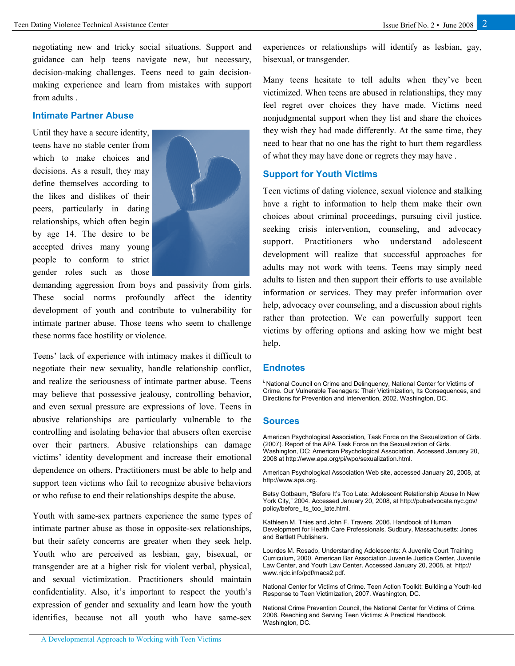negotiating new and tricky social situations. Support and guidance can help teens navigate new, but necessary, decision-making challenges. Teens need to gain decisionmaking experience and learn from mistakes with support from adults .

#### Intimate Partner Abuse

Until they have a secure identity, teens have no stable center from which to make choices and decisions. As a result, they may define themselves according to the likes and dislikes of their peers, particularly in dating relationships, which often begin by age 14. The desire to be accepted drives many young people to conform to strict gender roles such as those



demanding aggression from boys and passivity from girls. These social norms profoundly affect the identity development of youth and contribute to vulnerability for intimate partner abuse. Those teens who seem to challenge these norms face hostility or violence.

Teens' lack of experience with intimacy makes it difficult to negotiate their new sexuality, handle relationship conflict, and realize the seriousness of intimate partner abuse. Teens may believe that possessive jealousy, controlling behavior, and even sexual pressure are expressions of love. Teens in abusive relationships are particularly vulnerable to the controlling and isolating behavior that abusers often exercise over their partners. Abusive relationships can damage victims' identity development and increase their emotional dependence on others. Practitioners must be able to help and support teen victims who fail to recognize abusive behaviors or who refuse to end their relationships despite the abuse.

Youth with same-sex partners experience the same types of intimate partner abuse as those in opposite-sex relationships, but their safety concerns are greater when they seek help. Youth who are perceived as lesbian, gay, bisexual, or transgender are at a higher risk for violent verbal, physical, and sexual victimization. Practitioners should maintain confidentiality. Also, it's important to respect the youth's expression of gender and sexuality and learn how the youth identifies, because not all youth who have same-sex

experiences or relationships will identify as lesbian, gay, bisexual, or transgender.

Many teens hesitate to tell adults when they've been victimized. When teens are abused in relationships, they may feel regret over choices they have made. Victims need nonjudgmental support when they list and share the choices they wish they had made differently. At the same time, they need to hear that no one has the right to hurt them regardless of what they may have done or regrets they may have .

#### Support for Youth Victims

Teen victims of dating violence, sexual violence and stalking have a right to information to help them make their own choices about criminal proceedings, pursuing civil justice, seeking crisis intervention, counseling, and advocacy support. Practitioners who understand adolescent development will realize that successful approaches for adults may not work with teens. Teens may simply need adults to listen and then support their efforts to use available information or services. They may prefer information over help, advocacy over counseling, and a discussion about rights rather than protection. We can powerfully support teen victims by offering options and asking how we might best help.

#### **Endnotes**

<sup>i.</sup> National Council on Crime and Delinquency, National Center for Victims of Crime. Our Vulnerable Teenagers: Their Victimization, Its Consequences, and Directions for Prevention and Intervention, 2002. Washington, DC.

#### Sources

American Psychological Association, Task Force on the Sexualization of Girls. (2007). Report of the APA Task Force on the Sexualization of Girls. Washington, DC: American Psychological Association. Accessed January 20, 2008 at http://www.apa.org/pi/wpo/sexualization.html.

American Psychological Association Web site, accessed January 20, 2008, at http://www.apa.org.

Betsy Gotbaum, "Before It's Too Late: Adolescent Relationship Abuse In New York City," 2004. Accessed January 20, 2008, at http://pubadvocate.nyc.gov/ policy/before\_its\_too\_late.html.

Kathleen M. Thies and John F. Travers. 2006. Handbook of Human Development for Health Care Professionals. Sudbury, Massachusetts: Jones and Bartlett Publishers.

Lourdes M. Rosado, Understanding Adolescents: A Juvenile Court Training Curriculum, 2000. American Bar Association Juvenile Justice Center, Juvenile Law Center, and Youth Law Center. Accessed January 20, 2008, at http:// www.njdc.info/pdf/maca2.pdf.

National Center for Victims of Crime. Teen Action Toolkit: Building a Youth-led Response to Teen Victimization, 2007. Washington, DC.

National Crime Prevention Council, the National Center for Victims of Crime. 2006. Reaching and Serving Teen Victims: A Practical Handbook. Washington, DC.